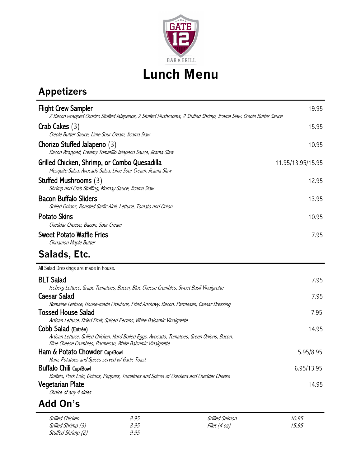

## **Appetizers**

| <b>Flight Crew Sampler</b><br>2 Bacon wrapped Chorizo Stuffed Jalapenos, 2 Stuffed Mushrooms, 2 Stuffed Shrimp, Jicama Slaw, Creole Butter Sauce                                              | 19.95             |
|-----------------------------------------------------------------------------------------------------------------------------------------------------------------------------------------------|-------------------|
| Crab Cakes $(3)$<br>Creole Butter Sauce, Lime Sour Cream, Jicama Slaw                                                                                                                         | 15.95             |
| Chorizo Stuffed Jalapeno (3)<br>Bacon Wrapped, Creamy Tomatillo Jalapeno Sauce, Jicama Slaw                                                                                                   | 10.95             |
| Grilled Chicken, Shrimp, or Combo Quesadilla<br>Mesquite Salsa, Avocado Salsa, Lime Sour Cream, Jicama Slaw                                                                                   | 11.95/13.95/15.95 |
| Stuffed Mushrooms (3)<br>Shrimp and Crab Stuffing, Mornay Sauce, Jicama Slaw                                                                                                                  | 12.95             |
| <b>Bacon Buffalo Sliders</b><br>Grilled Onions, Roasted Garlic Aioli, Lettuce, Tomato and Onion                                                                                               | 13.95             |
| <b>Potato Skins</b><br>Cheddar Cheese, Bacon, Sour Cream                                                                                                                                      | 10.95             |
| <b>Sweet Potato Waffle Fries</b><br>Cinnamon Maple Butter                                                                                                                                     | 7.95              |
|                                                                                                                                                                                               |                   |
| Salads, Etc.                                                                                                                                                                                  |                   |
| All Salad Dressings are made in house.                                                                                                                                                        |                   |
| <b>BLT Salad</b>                                                                                                                                                                              | 7.95              |
| Iceberg Lettuce, Grape Tomatoes, Bacon, Blue Cheese Crumbles, Sweet Basil Vinaigrette                                                                                                         |                   |
| <b>Caesar Salad</b><br>Romaine Lettuce, House-made Croutons, Fried Anchovy, Bacon, Parmesan, Caesar Dressing                                                                                  | 7.95              |
| <b>Tossed House Salad</b>                                                                                                                                                                     | 7.95              |
| Artisan Lettuce, Dried Fruit, Spiced Pecans, White Balsamic Vinaigrette<br>Cobb Salad (Entrée)<br>Artisan Lettuce, Grilled Chicken, Hard Boiled Eggs, Avocado, Tomatoes, Green Onions, Bacon, | 14.95             |
| Blue Cheese Crumbles, Parmesan, White Balsamic Vinaigrette                                                                                                                                    |                   |
| Ham & Potato Chowder Cup/Bowl                                                                                                                                                                 | 5.95/8.95         |
| Ham, Potatoes and Spices served w/ Garlic Toast<br><b>Buffalo Chili Cup/Bowl</b>                                                                                                              | 6.95/13.95        |
| Buffalo, Pork Loin, Onions, Peppers, Tomatoes and Spices w/ Crackers and Cheddar Cheese<br>Vegetarian Plate                                                                                   | 14.95             |

## **Add On's**

| Grilled Chicken    | 8.95 | Grilled Salmon | 10.95 |
|--------------------|------|----------------|-------|
| Grilled Shrimp (3) | 8.95 | Filet (4 oz)   | 15.95 |
| Stuffed Shrimp (2) | 9.95 |                |       |